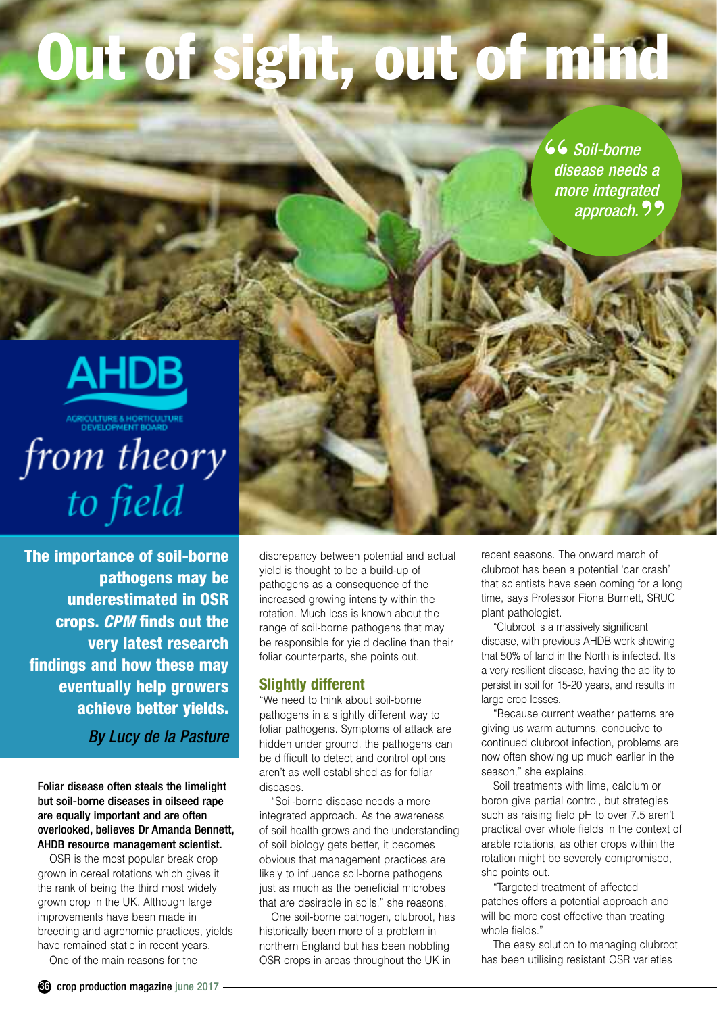# **Out of sight, out of mind**

*Soil-borne*  **"** *disease needs a more integrated approach.***"**



from theory to field

**The importance of soil-borne pathogens may be underestimated in OSR crops.** *CPM* **finds out the very latest research findings and how these may eventually help growers achieve better yields.**

*By Lucy de la Pasture*

Foliar disease often steals the limelight but soil-borne diseases in oilseed rape are equally important and are often overlooked, believes Dr Amanda Bennett, AHDB resource management scientist.

OSR is the most popular break crop grown in cereal rotations which gives it the rank of being the third most widely grown crop in the UK. Although large improvements have been made in breeding and agronomic practices, yields have remained static in recent years.

One of the main reasons for the

discrepancy between potential and actual yield is thought to be a build-up of pathogens as a consequence of the increased growing intensity within the rotation. Much less is known about the range of soil-borne pathogens that may be responsible for yield decline than their foliar counterparts, she points out.

#### **Slightly different**

"We need to think about soil-borne pathogens in a slightly different way to foliar pathogens. Symptoms of attack are hidden under ground, the pathogens can be difficult to detect and control options aren't as well established as for foliar diseases.

"Soil-borne disease needs a more integrated approach. As the awareness of soil health grows and the understanding of soil biology gets better, it becomes obvious that management practices are likely to influence soil-borne pathogens just as much as the beneficial microbes that are desirable in soils," she reasons.

One soil-borne pathogen, clubroot, has historically been more of a problem in northern England but has been nobbling OSR crops in areas throughout the UK in

recent seasons. The onward march of clubroot has been a potential 'car crash' that scientists have seen coming for a long time, says Professor Fiona Burnett, SRUC plant pathologist.

"Clubroot is a massively significant disease, with previous AHDB work showing that 50% of land in the North is infected. It's a very resilient disease, having the ability to persist in soil for 15-20 years, and results in large crop losses.

"Because current weather patterns are giving us warm autumns, conducive to continued clubroot infection, problems are now often showing up much earlier in the season," she explains.

Soil treatments with lime, calcium or boron give partial control, but strategies such as raising field pH to over 7.5 aren't practical over whole fields in the context of arable rotations, as other crops within the rotation might be severely compromised, she points out.

"Targeted treatment of affected patches offers a potential approach and will be more cost effective than treating whole fields."

The easy solution to managing clubroot has been utilising resistant OSR varieties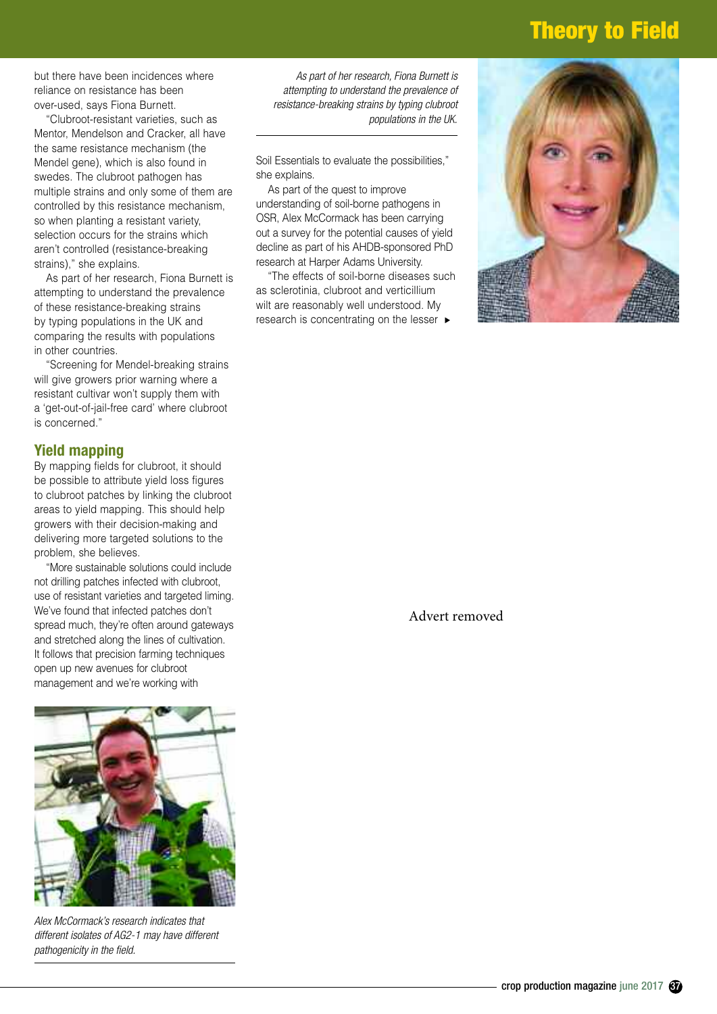## **Theory to Field**

but there have been incidences where reliance on resistance has been over-used, says Fiona Burnett.

"Clubroot-resistant varieties, such as Mentor, Mendelson and Cracker, all have the same resistance mechanism (the Mendel gene), which is also found in swedes. The clubroot pathogen has multiple strains and only some of them are controlled by this resistance mechanism, so when planting a resistant variety, selection occurs for the strains which aren't controlled (resistance-breaking strains)," she explains.

As part of her research, Fiona Burnett is attempting to understand the prevalence of these resistance-breaking strains by typing populations in the UK and comparing the results with populations in other countries.

"Screening for Mendel-breaking strains will give growers prior warning where a resistant cultivar won't supply them with a 'get-out-of-jail-free card' where clubroot is concerned."

#### **Yield mapping**

By mapping fields for clubroot, it should be possible to attribute yield loss figures to clubroot patches by linking the clubroot areas to yield mapping. This should help growers with their decision-making and delivering more targeted solutions to the problem, she believes.

"More sustainable solutions could include not drilling patches infected with clubroot, use of resistant varieties and targeted liming. We've found that infected patches don't spread much, they're often around gateways and stretched along the lines of cultivation. It follows that precision farming techniques open up new avenues for clubroot management and we're working with



*Alex McCormack's research indicates that different isolates of AG2-1 may have different pathogenicity in the field.*

*As part of her research, Fiona Burnett is attempting to understand the prevalence of resistance-breaking strains by typing clubroot populations in the UK.*

Soil Essentials to evaluate the possibilities," she explains.

As part of the quest to improve understanding of soil-borne pathogens in OSR, Alex McCormack has been carrying out a survey for the potential causes of yield decline as part of his AHDB-sponsored PhD research at Harper Adams University.

"The effects of soil-borne diseases such as sclerotinia, clubroot and verticillium wilt are reasonably well understood. My research is concentrating on the lesser ▶



Advert removed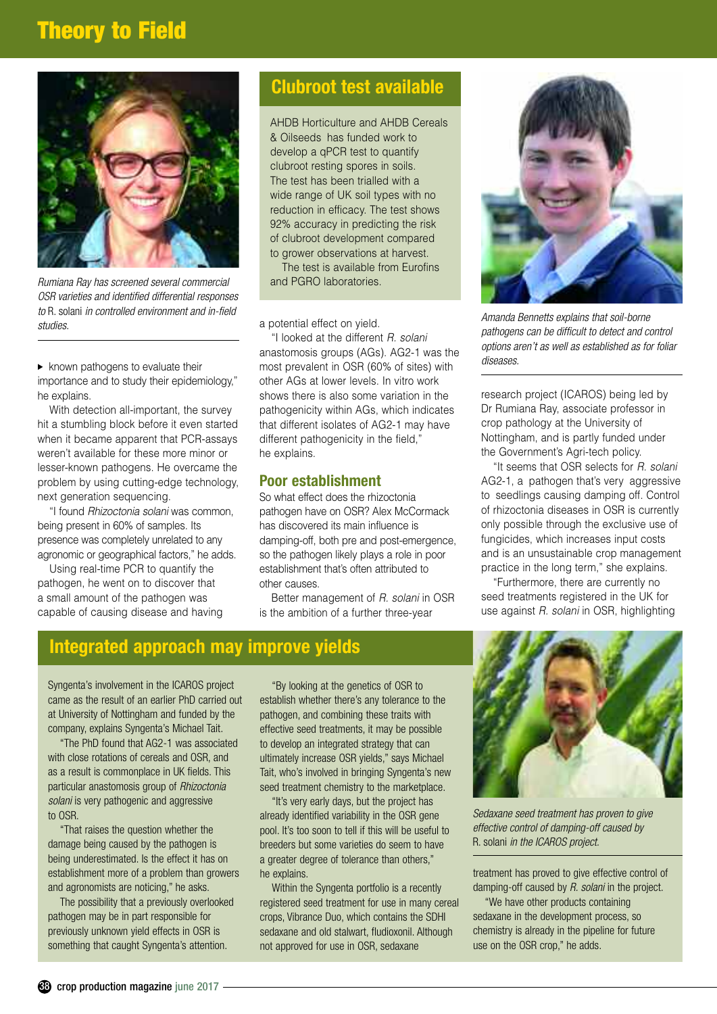# **Theory to Field**



*Rumiana Ray has screened several commercial OSR varieties and identified differential responses to* R. solani *in controlled environment and in-field studies. Amanda Bennetts explains that soil-borne*

 $\blacktriangleright$  known pathogens to evaluate their importance and to study their epidemiology," he explains.

With detection all-important, the survey hit a stumbling block before it even started when it became apparent that PCR-assays weren't available for these more minor or lesser-known pathogens. He overcame the problem by using cutting-edge technology, next generation sequencing.

"I found *Rhizoctonia solani* was common, being present in 60% of samples. Its presence was completely unrelated to any agronomic or geographical factors," he adds.

Using real-time PCR to quantify the pathogen, he went on to discover that a small amount of the pathogen was capable of causing disease and having

#### **Clubroot test available**

AHDB Horticulture and AHDB Cereals & Oilseeds has funded work to develop a qPCR test to quantify clubroot resting spores in soils. The test has been trialled with a wide range of UK soil types with no reduction in efficacy. The test shows 92% accuracy in predicting the risk of clubroot development compared to grower observations at harvest.

The test is available from Eurofins and PGRO laboratories.

a potential effect on yield.

"I looked at the different *R. solani*  anastomosis groups (AGs). AG2-1 was the most prevalent in OSR (60% of sites) with other AGs at lower levels. In vitro work shows there is also some variation in the pathogenicity within AGs, which indicates that different isolates of AG2-1 may have different pathogenicity in the field," he explains.

#### **Poor establishment**

So what effect does the rhizoctonia pathogen have on OSR? Alex McCormack has discovered its main influence is damping-off, both pre and post-emergence, so the pathogen likely plays a role in poor establishment that's often attributed to other causes.

Better management of *R. solani* in OSR is the ambition of a further three-year



*pathogens can be difficult to detect and control options aren't as well as established as for foliar diseases.*

research project (ICAROS) being led by Dr Rumiana Ray, associate professor in crop pathology at the University of Nottingham, and is partly funded under the Government's Agri-tech policy.

"It seems that OSR selects for *R. solani* AG2-1, a pathogen that's very aggressive to seedlings causing damping off. Control of rhizoctonia diseases in OSR is currently only possible through the exclusive use of fungicides, which increases input costs and is an unsustainable crop management practice in the long term," she explains.

"Furthermore, there are currently no seed treatments registered in the UK for use against *R. solani* in OSR, highlighting

## **Integrated approach may improve yields**

Syngenta's involvement in the ICAROS project came as the result of an earlier PhD carried out at University of Nottingham and funded by the company, explains Syngenta's Michael Tait.

"The PhD found that AG2-1 was associated with close rotations of cereals and OSR, and as a result is commonplace in UK fields. This particular anastomosis group of *Rhizoctonia solani* is very pathogenic and aggressive to OSR.

"That raises the question whether the damage being caused by the pathogen is being underestimated. Is the effect it has on establishment more of a problem than growers and agronomists are noticing," he asks.

The possibility that a previously overlooked pathogen may be in part responsible for previously unknown yield effects in OSR is something that caught Syngenta's attention.

"By looking at the genetics of OSR to establish whether there's any tolerance to the pathogen, and combining these traits with effective seed treatments, it may be possible to develop an integrated strategy that can ultimately increase OSR yields," says Michael Tait, who's involved in bringing Syngenta's new seed treatment chemistry to the marketplace.

"It's very early days, but the project has already identified variability in the OSR gene pool. It's too soon to tell if this will be useful to breeders but some varieties do seem to have a greater degree of tolerance than others," he explains.

Within the Syngenta portfolio is a recently registered seed treatment for use in many cereal crops, Vibrance Duo, which contains the SDHI sedaxane and old stalwart, fludioxonil. Although not approved for use in OSR, sedaxane



*Sedaxane seed treatment has proven to give effective control of damping-off caused by*  R. solani *in the ICAROS project.*

treatment has proved to give effective control of damping-off caused by *R. solani* in the project.

"We have other products containing sedaxane in the development process, so chemistry is already in the pipeline for future use on the OSR crop," he adds.